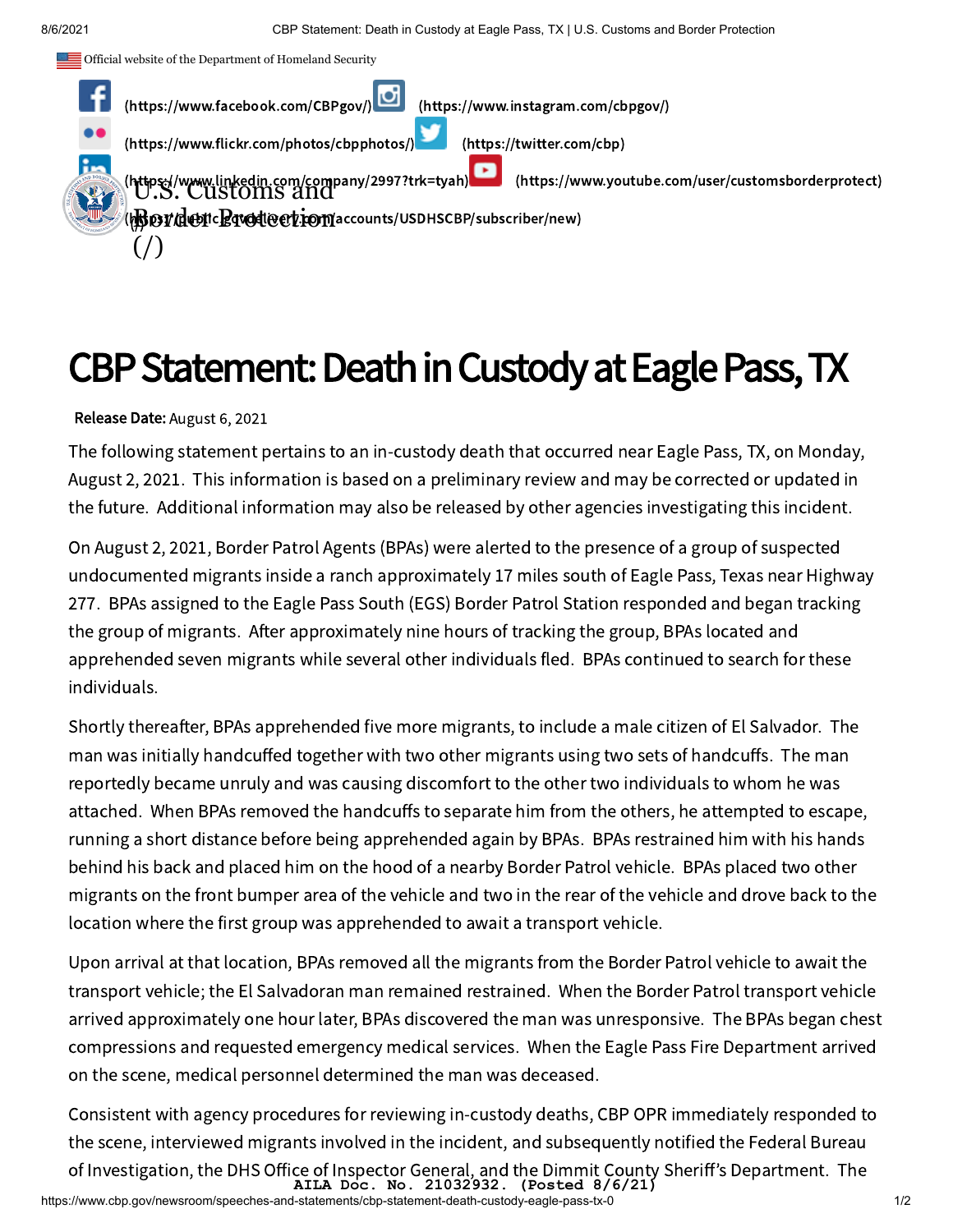

## CBP Statement: Death in Custody at Eagle Pass, TX

Release Date: August 6, 2021

The following statement pertains to an in-custody death that occurred near Eagle Pass, TX, on Monday, August 2, 2021. This information is based on a preliminary review and may be corrected or updated in the future. Additional information may also be released by other agencies investigating this incident.

On August 2, 2021, Border Patrol Agents (BPAs) were alerted to the presence of a group of suspected undocumented migrants inside a ranch approximately 17 miles south of Eagle Pass, Texas near Highway 277. BPAs assigned to the Eagle Pass South (EGS) Border Patrol Station responded and began tracking the group of migrants. After approximately nine hours of tracking the group, BPAs located and apprehended seven migrants while several other individuals fled. BPAs continued to search for these individuals.

Shortly thereafter, BPAs apprehended five more migrants, to include a male citizen of El Salvador. The man was initially handcuffed together with two other migrants using two sets of handcuffs. The man reportedly became unruly and was causing discomfort to the other two individuals to whom he was attached. When BPAs removed the handcuffs to separate him from the others, he attempted to escape, running a short distance before being apprehended again by BPAs. BPAs restrained him with his hands behind his back and placed him on the hood of a nearby Border Patrol vehicle. BPAs placed two other migrants on the front bumper area of the vehicle and two in the rear of the vehicle and drove back to the location where the first group was apprehended to await a transport vehicle.

Upon arrival at that location, BPAs removed all the migrants from the Border Patrol vehicle to await the transport vehicle; the El Salvadoran man remained restrained. When the Border Patrol transport vehicle arrived approximately one hour later, BPAs discovered the man was unresponsive. The BPAs began chest compressions and requested emergency medical services. When the Eagle Pass Fire Department arrived on the scene, medical personnel determined the man was deceased.

Consistent with agency procedures for reviewing in-custody deaths, CBP OPR immediately responded to the scene, interviewed migrants involved in the incident, and subsequently notified the Federal Bureau